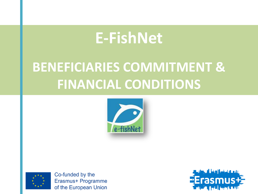## **E-FishNet**

## **BENEFICIARIES COMMITMENT & FINANCIAL CONDITIONS**





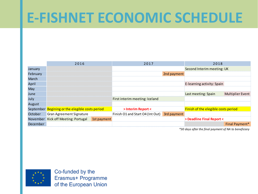## **E-FISHNET ECONOMIC SCHEDULE**

|          | 2016                                            |             | 2017                                         |                            | 2018                                |                         |  |  |
|----------|-------------------------------------------------|-------------|----------------------------------------------|----------------------------|-------------------------------------|-------------------------|--|--|
| January  |                                                 |             | Second Interim meeting: UK                   |                            |                                     |                         |  |  |
| February |                                                 |             |                                              | 2nd payment                |                                     |                         |  |  |
| March    |                                                 |             |                                              |                            |                                     |                         |  |  |
| April    |                                                 |             |                                              | E-learning activity: Spain |                                     |                         |  |  |
| May      |                                                 |             |                                              |                            |                                     |                         |  |  |
| June     |                                                 |             |                                              |                            | Last meeting: Spain                 | <b>Multiplier Event</b> |  |  |
| July     |                                                 |             | First interim meeting: Iceland               |                            |                                     |                         |  |  |
| August   |                                                 |             |                                              |                            |                                     |                         |  |  |
|          | September Begining or the elegible costs period |             | > Interim Report <                           |                            | Finish of the elegible costs period |                         |  |  |
| October  | <b>Gran Agreement Signature</b>                 |             | Finish O1 and Start O4 (Int Out) 3rd payment |                            |                                     |                         |  |  |
|          | November Kick off Meeting: Portugal             | 1st payment |                                              |                            | > Deadline Final Report <           |                         |  |  |
| December |                                                 |             |                                              |                            |                                     | <b>Final Payment*</b>   |  |  |

*\*30 days after the final payment of NA to beneficiary*

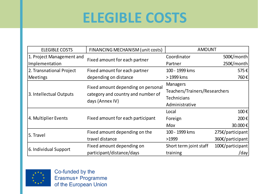# **ELEGIBLE COSTS**

| <b>ELEGIBLE COSTS</b>     | FINANCING MECHANISM (unit costs)   | <b>AMOUNT</b>                 |                  |  |  |  |  |
|---------------------------|------------------------------------|-------------------------------|------------------|--|--|--|--|
| 1. Project Management and | Fixed amount for each partner      | Coordinator                   | 500€/month       |  |  |  |  |
| Implementation            |                                    | Partner                       | 250€/month       |  |  |  |  |
| 2. Transnational Project  | Fixed amount for each partner      | 100 - 1999 kms                | 575€             |  |  |  |  |
| <b>Meetings</b>           | depending on distance              | > 1999 kms                    | 760€             |  |  |  |  |
|                           | Fixed amount depending on personal | <b>Managers</b>               |                  |  |  |  |  |
| 3. Intellectual Outputs   | category and country and number of | Teachers/Trainers/Researchers |                  |  |  |  |  |
|                           | days (Annex IV)                    | <b>Technicians</b>            |                  |  |  |  |  |
|                           |                                    | Administrative                |                  |  |  |  |  |
|                           |                                    | Local                         | 100€             |  |  |  |  |
| 4. Multiplier Events      | Fixed amount for each participant  | Foreign                       | 200€             |  |  |  |  |
|                           |                                    | Max                           | 30.000€          |  |  |  |  |
| 5. Travel                 | Fixed amount depending on the      | 100 - 1999 kms                | 275€/participant |  |  |  |  |
|                           | travel distance                    | >1999                         | 360€/participant |  |  |  |  |
|                           | Fixed amount depending on          | Short term joint staff        | 100€/participant |  |  |  |  |
| 6. Individual Support     | participant/distance/days          | training                      | /day             |  |  |  |  |

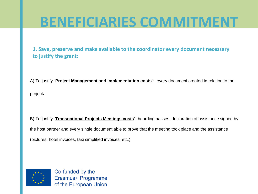**1. Save, preserve and make available to the coordinator every document necessary to justify the grant:**

A) To justify "**Project Management and Implementation costs**": every document created in relation to the project**.**

B) To justify "**Transnational Projects Meetings costs**": boarding passes, declaration of assistance signed by the host partner and every single document able to prove that the meeting took place and the assistance (pictures, hotel invoices, taxi simplified invoices, etc.)

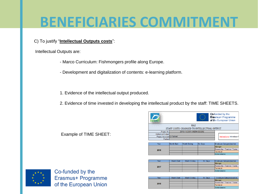#### C) To justify "**Intellectual Outputs costs**":

Intellectual Outputs are:

- Marco Curriculum: Fishmongers profile along Europe.
- Development and digitalization of contents: e-learning platform.
- 1. Evidence of the intellectual output produced.
- 2. Evidence of time invested in developing the intellectual product by the staff: TIME SHEETS.

|                                      |                            |                                                    | <b>KAN</b>                                 | of the European Union                     |
|--------------------------------------|----------------------------|----------------------------------------------------|--------------------------------------------|-------------------------------------------|
| reent                                |                            | KA <sub>2</sub>                                    |                                            |                                           |
|                                      |                            |                                                    | STAFF COSTS CHARGED TO INTELLECTUAL OUTPUT |                                           |
| Project Nr.                          |                            |                                                    |                                            |                                           |
| Intellectual Output                  |                            |                                                    |                                            |                                           |
| Project Acronym <sup>E-Fishnet</sup> | Instructions: introduce fi |                                                    |                                            |                                           |
| Partner                              |                            |                                                    |                                            |                                           |
| Year                                 | <b>Month Start</b>         | <b>Month Ending</b>                                | Nr. Days                                   | Employee Category/position                |
|                                      |                            |                                                    |                                            | Manager                                   |
|                                      |                            |                                                    |                                            | Researcher / Teacher / Trainer            |
| 2016                                 |                            |                                                    |                                            | Technical                                 |
|                                      |                            |                                                    |                                            | Administrative                            |
|                                      |                            |                                                    |                                            |                                           |
|                                      |                            |                                                    |                                            |                                           |
| Year                                 | Month Start                | <b>Month Ending</b>                                | Nr. Days                                   | Employee Category/position                |
|                                      |                            |                                                    |                                            | Manager<br>Researcher / Teacher / Trainer |
| 2017                                 |                            |                                                    |                                            | Technical                                 |
|                                      |                            |                                                    |                                            | Administrative                            |
|                                      |                            |                                                    |                                            |                                           |
|                                      |                            |                                                    |                                            |                                           |
| $\overline{a}$                       | <b>CALL COMMAND</b>        | <b>Contract Contract Contract</b><br>$\sim$ $\sim$ | and the state                              | --<br>$\overline{a}$<br>$-$               |

Co-funded by the Erasmus+ Programme





Co-funded by the Erasmus+ Programme of the European Union

Example of TIME SHEET: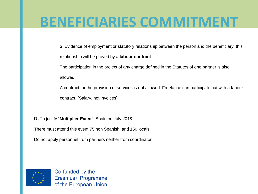- 3. Evidence of employment or statutory relationship between the person and the beneficiary: this relationship will be proved by a **labour contract**.
- The participation in the project of any charge defined in the Statutes of one partner is also
- allowed.
- A contract for the provision of services is not allowed. Freelance can participate but with a labour contract. (Salary, not invoices)
- D) To justify "**Multiplier Event**": Spain on July 2018.
- There must attend this event 75 non Spanish, and 150 locals.
- Do not apply personnel from partners neither from coordinator.

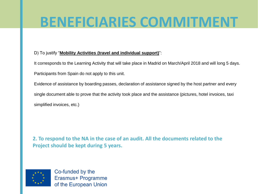#### D) To justify "**Mobility Activities (travel and individual support)**":

It corresponds to the Learning Activity that will take place in Madrid on March/April 2018 and will long 5 days. Participants from Spain do not apply to this unit.

Evidence of assistance by boarding passes, declaration of assistance signed by the host partner and every single document able to prove that the activity took place and the assistance (pictures, hotel invoices, taxi simplified invoices, etc.)

**2. To respond to the NA in the case of an audit. All the documents related to the Project should be kept during 5 years.**

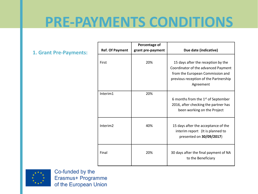### **PRE-PAYMENTS CONDITIONS**

#### **1. Grant Pre-Payments:**

| <b>Ref. Of Payment</b> | Percentage of<br>grant pre-payment | Due date (indicative)                                                                                                                                               |
|------------------------|------------------------------------|---------------------------------------------------------------------------------------------------------------------------------------------------------------------|
| First                  | 20%                                | 15 days after the reception by the<br>Coordinator of the advanced Payment<br>from the European Commission and<br>previous reception of the Partnership<br>Agreement |
| Interim1               | 20%                                | 6 months from the 1 <sup>st</sup> of September<br>2016, after checking the partner has<br>been working on the Project                                               |
| Interim <sub>2</sub>   | 40%                                | 15 days after the acceptance of the<br>interim report (It is planned to<br>presented on 30/09/2017)                                                                 |
| Final                  | 20%                                | 30 days after the final payment of NA<br>to the Beneficiary                                                                                                         |

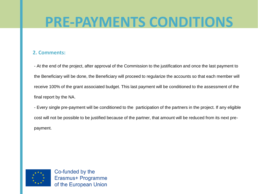### **PRE-PAYMENTS CONDITIONS**

#### **2. Comments:**

- At the end of the project, after approval of the Commission to the justification and once the last payment to the Beneficiary will be done, the Beneficiary will proceed to regularize the accounts so that each member will receive 100% of the grant associated budget. This last payment will be conditioned to the assessment of the final report by the NA.

- Every single pre-payment will be conditioned to the participation of the partners in the project. If any eligible cost will not be possible to be justified because of the partner, that amount will be reduced from its next prepayment.